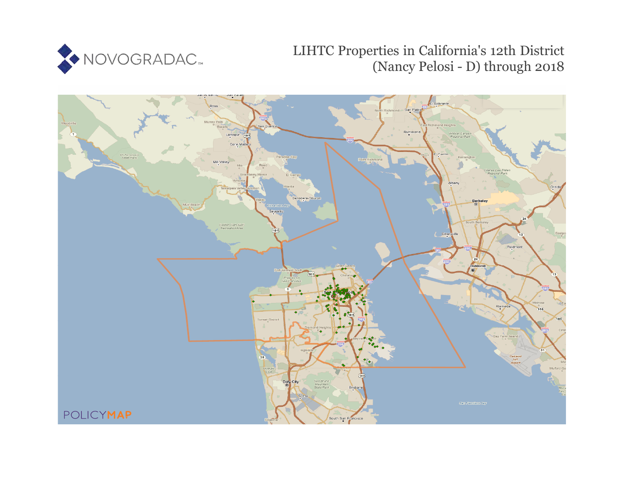

# LIHTC Properties in California's 12th District (Nancy Pelosi - D) through 2018

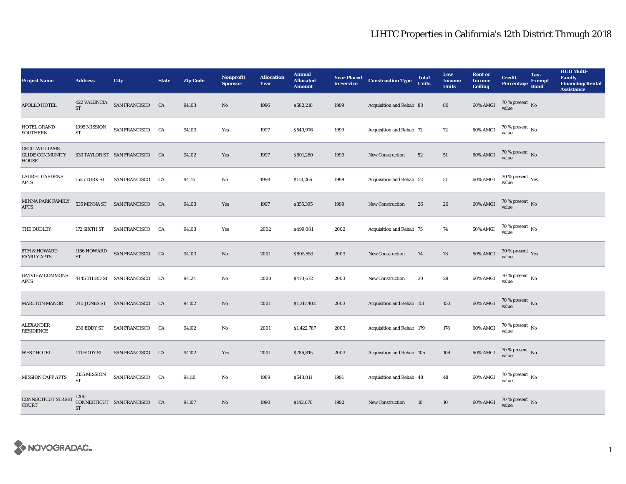| <b>Project Name</b>                                             | <b>Address</b>                     | City                           | <b>State</b> | <b>Zip Code</b> | Nonprofit<br><b>Sponsor</b> | <b>Allocation</b><br>Year | <b>Annual</b><br><b>Allocated</b><br><b>Amount</b> | <b>Year Placed</b><br>in Service | <b>Construction Type</b>  | <b>Total</b><br><b>Units</b> | Low<br><b>Income</b><br><b>Units</b> | <b>Rent or</b><br><b>Income</b><br><b>Ceiling</b> | <b>Credit</b><br><b>Percentage</b>        | Tax-<br><b>Exempt</b><br><b>Bond</b> | <b>HUD Multi-</b><br><b>Family</b><br><b>Financing/Rental</b><br><b>Assistance</b> |
|-----------------------------------------------------------------|------------------------------------|--------------------------------|--------------|-----------------|-----------------------------|---------------------------|----------------------------------------------------|----------------------------------|---------------------------|------------------------------|--------------------------------------|---------------------------------------------------|-------------------------------------------|--------------------------------------|------------------------------------------------------------------------------------|
| APOLLO HOTEL                                                    | <b>422 VALENCIA</b><br><b>ST</b>   | SAN FRANCISCO CA               |              | 94103           | $\rm No$                    | 1996                      | \$582,216                                          | 1999                             | Acquisition and Rehab 80  |                              | 80                                   | 60% AMGI                                          | 70 % present $\hbox{~No}$<br>value        |                                      |                                                                                    |
| HOTEL GRAND<br><b>SOUTHERN</b>                                  | 1095 MISSION<br>${\cal ST}$        | SAN FRANCISCO CA               |              | 94103           | Yes                         | 1997                      | \$549,976                                          | 1999                             | Acquisition and Rehab 72  |                              | 72                                   | $60\%$ AMGI                                       | $70$ % present $\,$ No value              |                                      |                                                                                    |
| <b>CECIL WILLIAMS</b><br><b>GLIDE COMMUNITY</b><br><b>HOUSE</b> |                                    | 333 TAYLOR ST SAN FRANCISCO    | CA           | 94102           | Yes                         | 1997                      | \$601,260                                          | 1999                             | New Construction          | 52                           | 51                                   | 60% AMGI                                          | $70$ % present $\,$ No value              |                                      |                                                                                    |
| <b>LAUREL GARDENS</b><br><b>APTS</b>                            | 1555 TURK ST                       | <b>SAN FRANCISCO</b>           | CA           | 94115           | No                          | 1998                      | \$118,266                                          | 1999                             | Acquisition and Rehab 52  |                              | 51                                   | 60% AMGI                                          | $30\,\%$ present $\,$ $\rm{Yes}$<br>value |                                      |                                                                                    |
| MINNA PARK FAMILY<br><b>APTS</b>                                |                                    | 535 MINNA ST SAN FRANCISCO CA  |              | 94103           | Yes                         | 1997                      | \$355,395                                          | 1999                             | New Construction          | 26                           | 26                                   | 60% AMGI                                          | $70$ % present $\,$ No value              |                                      |                                                                                    |
| THE DUDLEY                                                      | 172 SIXTH ST                       | <b>SAN FRANCISCO</b>           | CA           | 94103           | Yes                         | 2002                      | \$499,081                                          | 2002                             | Acquisition and Rehab 75  |                              | 74                                   | 50% AMGI                                          | $70$ % present $\,$ No value              |                                      |                                                                                    |
| <b>8TH &amp; HOWARD</b><br><b>FAMILY APTS</b>                   | 1166 HOWARD<br>$\operatorname{ST}$ | SAN FRANCISCO CA               |              | 94103           | $\mathbf{N}\mathbf{o}$      | 2001                      | \$805,553                                          | 2003                             | New Construction          | 74                           | 73                                   | 60% AMGI                                          | $30\,\%$ present $\,$ $\rm Yes$<br>value  |                                      |                                                                                    |
| <b>BAYVIEW COMMONS</b><br><b>APTS</b>                           |                                    | 4445 THIRD ST SAN FRANCISCO CA |              | 94124           | $\mathbf{No}$               | 2000                      | \$470,672                                          | 2003                             | New Construction          | $30\,$                       | 29                                   | 60% AMGI                                          | $70$ % present $\,$ No $\,$<br>value      |                                      |                                                                                    |
| <b>MARLTON MANOR</b>                                            |                                    | 240 JONES ST SAN FRANCISCO CA  |              | 94102           | No                          | 2001                      | \$1,317,402                                        | 2003                             | Acquisition and Rehab 151 |                              | 150                                  | 60% AMGI                                          | $70\,\%$ present $\,$ No value            |                                      |                                                                                    |
| <b>ALEXANDER</b><br><b>RESIDENCE</b>                            | 230 EDDY ST                        | <b>SAN FRANCISCO</b>           | CA           | 94102           | $\rm No$                    | 2001                      | \$1,422,787                                        | 2003                             | Acquisition and Rehab 179 |                              | 178                                  | 60% AMGI                                          | 70 % present $\,$ No $\,$<br>value        |                                      |                                                                                    |
| <b>WEST HOTEL</b>                                               | 141 EDDY ST                        | SAN FRANCISCO CA               |              | 94102           | Yes                         | 2001                      | \$786,815                                          | 2003                             | Acquisition and Rehab 105 |                              | 104                                  | 60% AMGI                                          | $70\,\%$ present $\,$ No value            |                                      |                                                                                    |
| MISSION CAPP APTS                                               | 2155 MISSION<br><b>ST</b>          | SAN FRANCISCO CA               |              | 94110           | No                          | 1989                      | \$543,811                                          | 1991                             | Acquisition and Rehab 48  |                              | 48                                   | 60% AMGI                                          | $70$ % present $\,$ No $\,$<br>value      |                                      |                                                                                    |
| <b>CONNECTICUT STREET</b><br>COURT                              | 1206<br>${\rm ST}$                 | CONNECTICUT SAN FRANCISCO      | CA           | 94107           | No                          | 1990                      | \$142,676                                          | 1992                             | <b>New Construction</b>   | 10                           | 10                                   | 60% AMGI                                          | 70 % present $\,$ No $\,$<br>value        |                                      |                                                                                    |

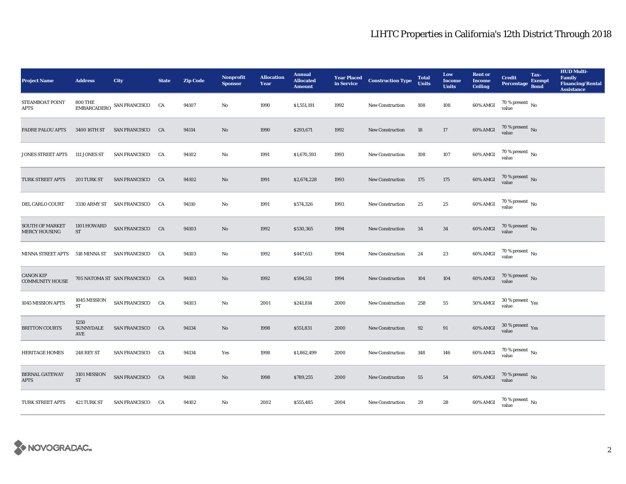| <b>Project Name</b>                            | <b>Address</b>             | <b>City</b>                    | <b>State</b> | <b>Zip Code</b> | <b>Nonprofit</b><br><b>Sponsor</b> | <b>Allocation</b><br>Year | <b>Annual</b><br><b>Allocated</b><br><b>Amount</b> |      | <b>Year Placed Construction Type</b><br>in Service | <b>Total</b><br><b>Units</b> | Low<br><b>Income</b><br><b>Units</b> | <b>Rent or</b><br><b>Income</b><br><b>Ceiling</b> | <b>Credit</b><br><b>Percentage</b> | Tax-<br><b>Exempt</b><br><b>Bond</b> | <b>HUD Multi-</b><br>Family<br><b>Financing/Rental</b><br><b>Assistance</b> |
|------------------------------------------------|----------------------------|--------------------------------|--------------|-----------------|------------------------------------|---------------------------|----------------------------------------------------|------|----------------------------------------------------|------------------------------|--------------------------------------|---------------------------------------------------|------------------------------------|--------------------------------------|-----------------------------------------------------------------------------|
| STEAMBOAT POINT<br><b>APTS</b>                 | <b>800 THE</b>             | EMBARCADERO SAN FRANCISCO CA   |              | 94107           | No                                 | 1990                      | \$1,551,191                                        | 1992 | New Construction                                   | 108                          | 108                                  | $60\%$ AMGI                                       | $70\%$ present No<br>value         |                                      |                                                                             |
| <b>PADRE PALOU APTS</b>                        | 3400 16TH ST               | SAN FRANCISCO CA               |              | 94114           | No                                 | 1990                      | \$293,671                                          | 1992 | <b>New Construction</b>                            | 18                           | 17                                   | 60% AMGI                                          | $70$ % present $\,$ No value       |                                      |                                                                             |
| <b>JONES STREET APTS</b>                       | 111 JONES ST               | <b>SAN FRANCISCO</b>           | CA           | 94102           | $\mathbf{No}$                      | 1991                      | \$1,670,593                                        | 1993 | <b>New Construction</b>                            | 108                          | 107                                  | 60% AMGI                                          | $70$ % present $\,$ No value       |                                      |                                                                             |
| TURK STREET APTS                               | 201 TURK ST                | <b>SAN FRANCISCO</b>           | CA           | 94102           | No                                 | 1991                      | \$2,674,228                                        | 1993 | <b>New Construction</b>                            | 175                          | 175                                  | 60% AMGI                                          | $70$ % present $\,$ No value       |                                      |                                                                             |
| DEL CARLO COURT                                |                            | 3330 ARMY ST SAN FRANCISCO CA  |              | 94110           | No                                 | 1991                      | \$574,326                                          | 1993 | New Construction                                   | 25                           | 25                                   | 60% AMGI                                          | $70$ % present $\,$ No value       |                                      |                                                                             |
| <b>SOUTH OF MARKET</b><br><b>MERCY HOUSING</b> | 1101 HOWARD<br>ST          | SAN FRANCISCO CA               |              | 94103           | $\mathbf{No}$                      | 1992                      | \$530,365                                          | 1994 | <b>New Construction</b>                            | 34                           | 34                                   | 60% AMGI                                          | $70\,\%$ present $\,$ No value     |                                      |                                                                             |
| <b>MINNA STREET APTS</b>                       |                            | 518 MINNA ST SAN FRANCISCO     | CA           | 94103           | $\mathbf{N}\mathbf{o}$             | 1992                      | \$447,613                                          | 1994 | <b>New Construction</b>                            | 24                           | 23                                   | 60% AMGI                                          | $70$ % present $\,$ No value       |                                      |                                                                             |
| <b>CANON KIP</b><br><b>COMMUNITY HOUSE</b>     |                            | 705 NATOMA ST SAN FRANCISCO CA |              | 94103           | No                                 | 1992                      | \$594,511                                          | 1994 | New Construction                                   | 104                          | 104                                  | 60% AMGI                                          | $70$ % present $\,$ No value       |                                      |                                                                             |
| 1045 MISSION APTS                              | 1045 MISSION<br><b>ST</b>  | SAN FRANCISCO CA               |              | 94103           | No                                 | 2001                      | \$241,814                                          | 2000 | <b>New Construction</b>                            | 258                          | 55                                   | 50% AMGI                                          | $30\,\%$ present $\,$ Yes value    |                                      |                                                                             |
| <b>BRITTON COURTS</b>                          | 1250<br>SUNNYDALE<br>AVE   | <b>SAN FRANCISCO</b>           | CA           | 94134           | $\mathbf{N}\mathbf{o}$             | 1998                      | \$551,831                                          | 2000 | New Construction                                   | 92                           | 91                                   | 60% AMGI                                          | $30\,\%$ present $\,$ Yes value    |                                      |                                                                             |
| <b>HERITAGE HOMES</b>                          | <b>248 REY ST</b>          | <b>SAN FRANCISCO</b>           | CA           | 94134           | Yes                                | 1998                      | \$1,862,499                                        | 2000 | <b>New Construction</b>                            | 148                          | 146                                  | 60% AMGI                                          | $70\,\%$ present $\,$ No value     |                                      |                                                                             |
| <b>BERNAL GATEWAY</b><br><b>APTS</b>           | 3101 MISSION<br>${\rm ST}$ | SAN FRANCISCO CA               |              | 94110           | $\rm No$                           | 1998                      | \$789,255                                          | 2000 | New Construction                                   | 55                           | 54                                   | 60% AMGI                                          | $70\,\%$ present $\,$ No value     |                                      |                                                                             |
| TURK STREET APTS                               | 421 TURK ST                | <b>SAN FRANCISCO</b>           | <b>CA</b>    | 94102           | No                                 | 2002                      | \$555,485                                          | 2004 | New Construction                                   | 29                           | 28                                   | 60% AMGI                                          | $70\,\%$ present $\,$ No value     |                                      |                                                                             |

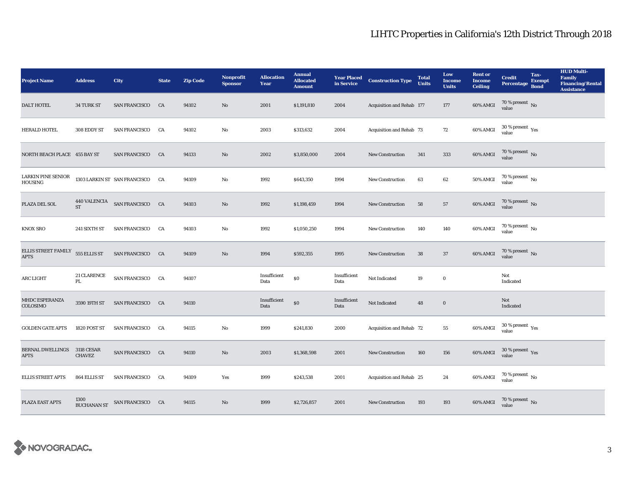| <b>Project Name</b>                         | <b>Address</b>                     | <b>City</b>                                      | <b>State</b> | <b>Zip Code</b> | <b>Nonprofit</b><br><b>Sponsor</b> | <b>Allocation</b><br>Year | <b>Annual</b><br><b>Allocated</b><br><b>Amount</b> | <b>Year Placed<br/>in Service</b> | <b>Construction Type</b>  | <b>Total</b><br><b>Units</b> | Low<br><b>Income</b><br><b>Units</b> | <b>Rent or</b><br><b>Income</b><br><b>Ceiling</b> | <b>Credit</b><br><b>Percentage</b>       | Tax-<br><b>Exempt</b><br><b>Bond</b> | <b>HUD Multi-</b><br>Family<br><b>Financing/Rental</b><br><b>Assistance</b> |
|---------------------------------------------|------------------------------------|--------------------------------------------------|--------------|-----------------|------------------------------------|---------------------------|----------------------------------------------------|-----------------------------------|---------------------------|------------------------------|--------------------------------------|---------------------------------------------------|------------------------------------------|--------------------------------------|-----------------------------------------------------------------------------|
| <b>DALT HOTEL</b>                           | 34 TURK ST                         | SAN FRANCISCO CA                                 |              | 94102           | No                                 | 2001                      | \$1,191,810                                        | 2004                              | Acquisition and Rehab 177 |                              | 177                                  | $60\%$ AMGI                                       | $70\,\%$ present $\,$ No value           |                                      |                                                                             |
| <b>HERALD HOTEL</b>                         | 308 EDDY ST                        | SAN FRANCISCO CA                                 |              | 94102           | $\mathbf{No}$                      | 2003                      | \$313,632                                          | 2004                              | Acquisition and Rehab 73  |                              | 72                                   | 60% AMGI                                          | $30\ \%$ present $\ _{\mbox{Yes}}$ value |                                      |                                                                             |
| NORTH BEACH PLACE 455 BAY ST                |                                    | <b>SAN FRANCISCO</b>                             | CA           | 94133           | $\mathbf{N}\mathbf{o}$             | 2002                      | \$3,850,000                                        | 2004                              | <b>New Construction</b>   | 341                          | 333                                  | 60% AMGI                                          | $70\,\%$ present $\,$ No value           |                                      |                                                                             |
| <b>LARKIN PINE SENIOR</b><br><b>HOUSING</b> |                                    | 1303 LARKIN ST SAN FRANCISCO                     | <b>CA</b>    | 94109           | No                                 | 1992                      | \$643,350                                          | 1994                              | <b>New Construction</b>   | 63                           | 62                                   | <b>50% AMGI</b>                                   | 70 % present $\,$ No $\,$<br>value       |                                      |                                                                             |
| PLAZA DEL SOL                               |                                    | $440$ VALENCIA $$\rm{SAN}$ FRANCISCO $$\rm{CA}$$ |              | 94103           | $\mathbf{No}$                      | 1992                      | \$1,198,459                                        | 1994                              | <b>New Construction</b>   | 58                           | 57                                   | 60% AMGI                                          | $70$ % present $\,$ No value             |                                      |                                                                             |
| <b>KNOX SRO</b>                             | 241 SIXTH ST                       | <b>SAN FRANCISCO</b>                             | <b>CA</b>    | 94103           | No                                 | 1992                      | \$1,050,250                                        | 1994                              | <b>New Construction</b>   | 140                          | 140                                  | 60% AMGI                                          | $70\,\%$ present $\,$ No value           |                                      |                                                                             |
| ELLIS STREET FAMILY<br><b>APTS</b>          | 555 ELLIS ST                       | SAN FRANCISCO CA                                 |              | 94109           | No                                 | 1994                      | \$592,355                                          | 1995                              | <b>New Construction</b>   | 38                           | 37                                   | 60% AMGI                                          | $70$ % present $\,$ No value             |                                      |                                                                             |
| ARC LIGHT                                   | 21 CLARENCE<br>PL                  | SAN FRANCISCO CA                                 |              | 94107           |                                    | Insufficient<br>Data      | $\$0$                                              | Insufficient<br>Data              | Not Indicated             | 19                           | $\bf{0}$                             |                                                   | Not<br>Indicated                         |                                      |                                                                             |
| MHDC ESPERANZA<br>COLOSIMO                  | 3590 19TH ST                       | SAN FRANCISCO CA                                 |              | 94110           |                                    | Insufficient<br>Data      | $\$0$                                              | Insufficient<br>Data              | Not Indicated             | 48                           | $\bf{0}$                             |                                                   | Not<br>Indicated                         |                                      |                                                                             |
| <b>GOLDEN GATE APTS</b>                     | 1820 POST ST                       | <b>SAN FRANCISCO</b>                             | CA           | 94115           | No                                 | 1999                      | \$241,830                                          | 2000                              | Acquisition and Rehab 72  |                              | ${\bf 55}$                           | $60\%$ AMGI                                       | $30\,\%$ present $\,\mathrm{Yes}$ value  |                                      |                                                                             |
| <b>BERNAL DWELLINGS</b><br><b>APTS</b>      | <b>3118 CESAR</b><br><b>CHAVEZ</b> | SAN FRANCISCO CA                                 |              | 94110           | No                                 | 2003                      | \$1,368,598                                        | 2001                              | <b>New Construction</b>   | 160                          | 156                                  | 60% AMGI                                          | $30\,\%$ present $\,\mathrm{Yes}$ value  |                                      |                                                                             |
| <b>ELLIS STREET APTS</b>                    | 864 ELLIS ST                       | <b>SAN FRANCISCO</b>                             | <b>CA</b>    | 94109           | Yes                                | 1999                      | \$243,538                                          | 2001                              | Acquisition and Rehab 25  |                              | 24                                   | 60% AMGI                                          | $70\,\%$ present $\,$ No value           |                                      |                                                                             |
| PLAZA EAST APTS                             | 1300                               | BUCHANAN ST<br>SAN FRANCISCO<br>CA               |              | 94115           | No                                 | 1999                      | \$2,726,857                                        | 2001                              | <b>New Construction</b>   | 193                          | 193                                  | 60% AMGI                                          | $70\,\%$ present $\,$ No value           |                                      |                                                                             |

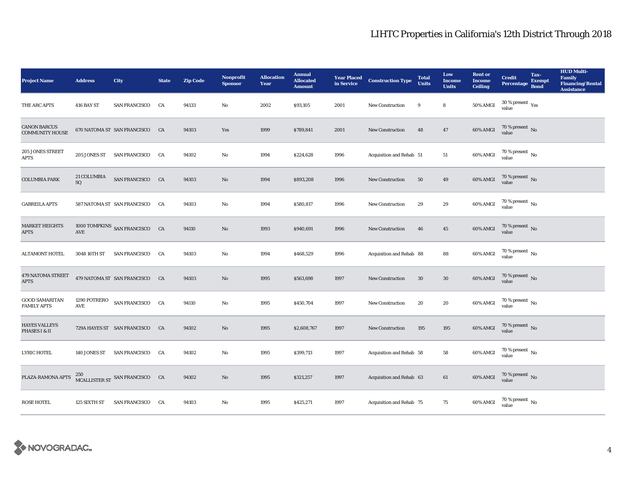| <b>Project Name</b>                           | <b>Address</b>      | <b>City</b>                    | <b>State</b> | <b>Zip Code</b> | <b>Nonprofit</b><br><b>Sponsor</b> | <b>Allocation</b><br>Year | <b>Annual</b><br><b>Allocated</b><br><b>Amount</b> |      | <b>Year Placed Construction Type</b><br>in Service | <b>Total</b><br><b>Units</b> | Low<br><b>Income</b><br><b>Units</b> | <b>Rent or</b><br><b>Income</b><br><b>Ceiling</b> | <b>Credit</b><br><b>Percentage</b>            | Tax-<br><b>Exempt</b><br><b>Bond</b> | <b>HUD Multi-</b><br><b>Family</b><br><b>Financing/Rental</b><br><b>Assistance</b> |
|-----------------------------------------------|---------------------|--------------------------------|--------------|-----------------|------------------------------------|---------------------------|----------------------------------------------------|------|----------------------------------------------------|------------------------------|--------------------------------------|---------------------------------------------------|-----------------------------------------------|--------------------------------------|------------------------------------------------------------------------------------|
| THE ARC APTS                                  | 416 BAY ST          | <b>SAN FRANCISCO</b>           | CA           | 94133           | No                                 | 2002                      | \$93,105                                           | 2001 | <b>New Construction</b>                            | 9                            | 8                                    | 50% AMGI                                          | $30$ % present $\rm \gamma_{\rm PS}$<br>value |                                      |                                                                                    |
| <b>CANON BARCUS</b><br><b>COMMUNITY HOUSE</b> |                     | 670 NATOMA ST SAN FRANCISCO CA |              | 94103           | Yes                                | 1999                      | \$789,841                                          | 2001 | New Construction                                   | 48                           | 47                                   | 60% AMGI                                          | $70$ % present $\,$ No value                  |                                      |                                                                                    |
| 205 JONES STREET<br><b>APTS</b>               | 205 JONES ST        | <b>SAN FRANCISCO</b>           | CA           | 94102           | $\rm No$                           | 1994                      | \$224,628                                          | 1996 | Acquisition and Rehab 51                           |                              | $51\,$                               | 60% AMGI                                          | $70$ % present $\,$ No value                  |                                      |                                                                                    |
| <b>COLUMBIA PARK</b>                          | 21 COLUMBIA<br>SQ   | SAN FRANCISCO CA               |              | 94103           | $\mathbf{N}\mathbf{o}$             | 1994                      | \$893,208                                          | 1996 | New Construction                                   | 50                           | 49                                   | 60% AMGI                                          | $70$ % present $\,$ No value                  |                                      |                                                                                    |
| <b>GABREILA APTS</b>                          |                     | 587 NATOMA ST SAN FRANCISCO CA |              | 94103           | No                                 | 1994                      | \$580,817                                          | 1996 | <b>New Construction</b>                            | 29                           | 29                                   | 60% AMGI                                          | $70$ % present $\,$ No $\,$<br>value          |                                      |                                                                                    |
| <b>MARKET HEIGHTS</b><br><b>APTS</b>          | AVE                 | 1000 TOMPKINS SAN FRANCISCO CA |              | 94110           | No                                 | 1993                      | \$940,691                                          | 1996 | New Construction                                   | 46                           | 45                                   | 60% AMGI                                          | $70$ % present $\,$ No value                  |                                      |                                                                                    |
| <b>ALTAMONT HOTEL</b>                         | 3048 16TH ST        | <b>SAN FRANCISCO</b>           | CA           | 94103           | No                                 | 1994                      | \$468,529                                          | 1996 | Acquisition and Rehab 88                           |                              | 88                                   | 60% AMGI                                          | $70\,\%$ present $\,$ No value                |                                      |                                                                                    |
| 479 NATOMA STREET<br><b>APTS</b>              |                     | 479 NATOMA ST SAN FRANCISCO CA |              | 94103           | No                                 | 1995                      | \$563,698                                          | 1997 | New Construction                                   | 30                           | $30\,$                               | 60% AMGI                                          | $70\,\%$ present $\,$ No value                |                                      |                                                                                    |
| <b>GOOD SAMARITAN</b><br><b>FAMILY APTS</b>   | 1290 POTRERO<br>AVE | SAN FRANCISCO CA               |              | 94110           | No                                 | 1995                      | \$450,704                                          | 1997 | New Construction                                   | 20                           | 20                                   | 60% AMGI                                          | $70\,\%$ present $\,$ No value                |                                      |                                                                                    |
| <b>HAYES VALLEYS</b><br>PHASES I & II         |                     | 729A HAYES ST SAN FRANCISCO CA |              | 94102           | $\mathbf{No}$                      | 1995                      | \$2,608,767                                        | 1997 | New Construction                                   | 195                          | 195                                  | 60% AMGI                                          | $70\,\%$ present $\,$ No value                |                                      |                                                                                    |
| <b>LYRIC HOTEL</b>                            | 140 JONES ST        | SAN FRANCISCO CA               |              | 94102           | No                                 | 1995                      | \$399,713                                          | 1997 | Acquisition and Rehab 58                           |                              | 58                                   | 60% AMGI                                          | $70\,\%$ present $\,$ No value                |                                      |                                                                                    |
| PLAZA-RAMONA APTS                             |                     | MCALLISTER ST SAN FRANCISCO CA |              | 94102           | $\mathbf{No}$                      | 1995                      | \$321,257                                          | 1997 | Acquisition and Rehab 63                           |                              | 61                                   | 60% AMGI                                          | $70\,\%$ present $\,$ No value                |                                      |                                                                                    |
| <b>ROSE HOTEL</b>                             | 125 SIXTH ST        | SAN FRANCISCO CA               |              | 94103           | No                                 | 1995                      | \$425,271                                          | 1997 | Acquisition and Rehab 75                           |                              | 75                                   | 60% AMGI                                          | $70\,\%$ present $\,$ No value                |                                      |                                                                                    |

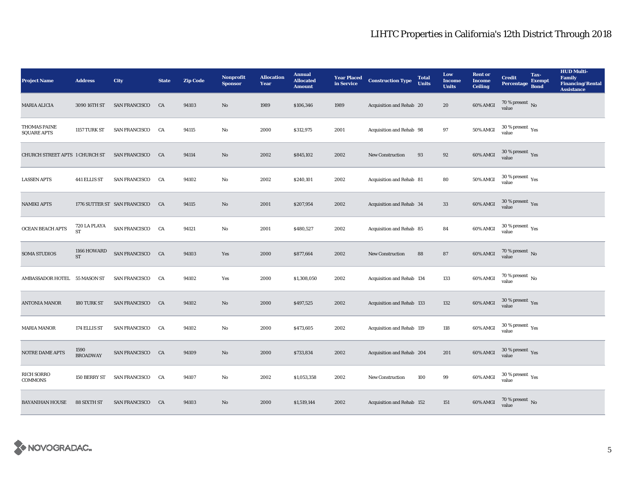| <b>Project Name</b>                       | <b>Address</b>            | <b>City</b>                     | <b>State</b> | <b>Zip Code</b> | <b>Nonprofit</b><br><b>Sponsor</b> | <b>Allocation</b><br>Year | <b>Annual</b><br><b>Allocated</b><br><b>Amount</b> | <b>Year Placed<br/>in Service</b> | <b>Construction Type</b>  | <b>Total</b><br><b>Units</b> | Low<br><b>Income</b><br><b>Units</b> | <b>Rent or</b><br><b>Income</b><br><b>Ceiling</b> | <b>Credit</b><br><b>Percentage</b>                   | Tax-<br><b>Exempt</b><br><b>Bond</b> | <b>HUD Multi-</b><br>Family<br><b>Financing/Rental</b><br><b>Assistance</b> |
|-------------------------------------------|---------------------------|---------------------------------|--------------|-----------------|------------------------------------|---------------------------|----------------------------------------------------|-----------------------------------|---------------------------|------------------------------|--------------------------------------|---------------------------------------------------|------------------------------------------------------|--------------------------------------|-----------------------------------------------------------------------------|
| <b>MARIA ALICIA</b>                       | 3090 16TH ST              | <b>SAN FRANCISCO</b>            | CA           | 94103           | No                                 | 1989                      | \$106,346                                          | 1989                              | Acquisition and Rehab 20  |                              | 20                                   | 60% AMGI                                          | $70$ % present $_{\rm No}$                           |                                      |                                                                             |
| <b>THOMAS PAINE</b><br><b>SQUARE APTS</b> | 1157 TURK ST              | <b>SAN FRANCISCO</b>            | <b>CA</b>    | 94115           | $\mathbf{No}$                      | 2000                      | \$312,975                                          | 2001                              | Acquisition and Rehab 98  |                              | 97                                   | <b>50% AMGI</b>                                   | $30\,\%$ present $\,\mathrm{Yes}$ value              |                                      |                                                                             |
| CHURCH STREET APTS 1 CHURCH ST            |                           | <b>SAN FRANCISCO</b>            | CA           | 94114           | No                                 | 2002                      | \$845,102                                          | 2002                              | <b>New Construction</b>   | 93                           | 92                                   | <b>60% AMGI</b>                                   | $30\,\%$ present $\,$ Yes value                      |                                      |                                                                             |
| <b>LASSEN APTS</b>                        | 441 ELLIS ST              | <b>SAN FRANCISCO</b>            | CA           | 94102           | No                                 | 2002                      | \$240,101                                          | 2002                              | Acquisition and Rehab 81  |                              | 80                                   | <b>50% AMGI</b>                                   | $30\,\%$ present $\,$ $\rm Yes$<br>value             |                                      |                                                                             |
| <b>NAMIKI APTS</b>                        |                           | 1776 SUTTER ST SAN FRANCISCO CA |              | 94115           | No                                 | 2001                      | \$207,954                                          | 2002                              | Acquisition and Rehab 34  |                              | $33\,$                               | 60% AMGI                                          | $30\,\%$ present $\,$ Yes value                      |                                      |                                                                             |
| OCEAN BEACH APTS                          | 720 LA PLAYA<br><b>ST</b> | SAN FRANCISCO CA                |              | 94121           | $\mathbf{No}$                      | 2001                      | \$480,527                                          | 2002                              | Acquisition and Rehab 85  |                              | 84                                   | 60% AMGI                                          | $30\,\%$ present $\,$ Yes value                      |                                      |                                                                             |
| <b>SOMA STUDIOS</b>                       | 1166 HOWARD<br><b>ST</b>  | SAN FRANCISCO CA                |              | 94103           | Yes                                | 2000                      | \$877,664                                          | 2002                              | New Construction          | 88                           | ${\bf 87}$                           | 60% AMGI                                          | $70$ % present $\,$ No value                         |                                      |                                                                             |
| AMBASSADOR HOTEL 55 MASON ST              |                           | <b>SAN FRANCISCO</b>            | <b>CA</b>    | 94102           | Yes                                | 2000                      | \$1,308,050                                        | 2002                              | Acquisition and Rehab 134 |                              | 133                                  | 60% AMGI                                          | $70\,\%$ present $\,$ No value                       |                                      |                                                                             |
| <b>ANTONIA MANOR</b>                      | 180 TURK ST               | <b>SAN FRANCISCO</b>            | CA           | 94102           | No                                 | 2000                      | \$497,525                                          | 2002                              | Acquisition and Rehab 133 |                              | 132                                  | 60% AMGI                                          | $30\,\%$ present $\,\mathrm{Yes}$ value              |                                      |                                                                             |
| <b>MARIA MANOR</b>                        | 174 ELLIS ST              | SAN FRANCISCO CA                |              | 94102           | $\mathbf{No}$                      | 2000                      | \$473,605                                          | 2002                              | Acquisition and Rehab 119 |                              | 118                                  | 60% AMGI                                          | $30\,\%$ present $\,$ Yes value                      |                                      |                                                                             |
| NOTRE DAME APTS                           | 1590<br><b>BROADWAY</b>   | SAN FRANCISCO CA                |              | 94109           | No                                 | 2000                      | \$733,834                                          | 2002                              | Acquisition and Rehab 204 |                              | 201                                  | 60% AMGI                                          | $30\,\%$ present $\,\mathrm{Yes}$ value              |                                      |                                                                             |
| <b>RICH SORRO</b><br><b>COMMONS</b>       | 150 BERRY ST              | SAN FRANCISCO CA                |              | 94107           | No                                 | 2002                      | \$1,053,358                                        | 2002                              | New Construction          | 100                          | $\boldsymbol{99}$                    | 60% AMGI                                          | 30 % present $\rm\thinspace\gamma_{\rm es}$<br>value |                                      |                                                                             |
| <b>BAYANIHAN HOUSE</b>                    | 88 SIXTH ST               | <b>SAN FRANCISCO</b>            | CA           | 94103           | No                                 | 2000                      | \$1,519,144                                        | 2002                              | Acquisition and Rehab 152 |                              | 151                                  | 60% AMGI                                          | $70\,\%$ present $\,$ No value                       |                                      |                                                                             |

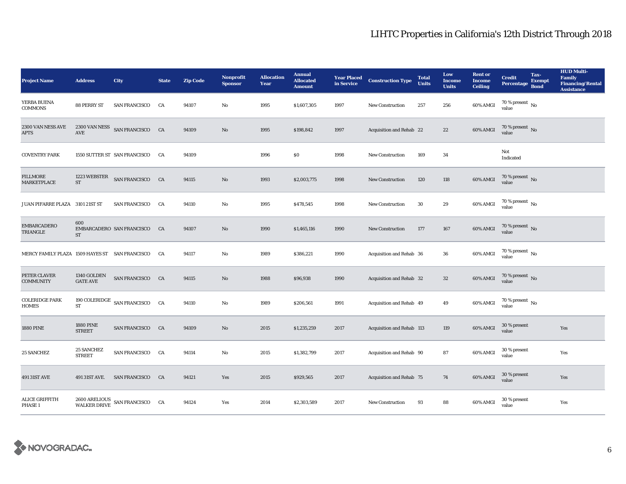| <b>Project Name</b>                            | <b>Address</b>                      | City                                          | <b>State</b> | <b>Zip Code</b> | <b>Nonprofit</b><br><b>Sponsor</b> | <b>Allocation</b><br>Year | <b>Annual</b><br><b>Allocated</b><br><b>Amount</b> | in Service | <b>Year Placed Construction Type</b> | <b>Total</b><br><b>Units</b> | Low<br><b>Income</b><br><b>Units</b> | <b>Rent or</b><br><b>Income</b><br><b>Ceiling</b> | <b>Credit</b><br><b>Percentage</b>   | Tax-<br><b>Exempt</b><br><b>Bond</b> | <b>HUD Multi-</b><br><b>Family</b><br><b>Financing/Rental</b><br><b>Assistance</b> |
|------------------------------------------------|-------------------------------------|-----------------------------------------------|--------------|-----------------|------------------------------------|---------------------------|----------------------------------------------------|------------|--------------------------------------|------------------------------|--------------------------------------|---------------------------------------------------|--------------------------------------|--------------------------------------|------------------------------------------------------------------------------------|
| YERBA BUENA<br><b>COMMONS</b>                  | 88 PERRY ST                         | <b>SAN FRANCISCO</b>                          | CA           | 94107           | No                                 | 1995                      | \$1,607,305                                        | 1997       | <b>New Construction</b>              | 257                          | 256                                  | 60% AMGI                                          | 70 % present $\,$ No $\,$<br>value   |                                      |                                                                                    |
| 2300 VAN NESS AVE<br><b>APTS</b>               | $\operatorname{AVE}$                | 2300 VAN NESS SAN FRANCISCO CA                |              | 94109           | $\mathbf{No}$                      | 1995                      | \$198,842                                          | 1997       | Acquisition and Rehab 22             |                              | $22\,$                               | 60% AMGI                                          | $70$ % present $\,$ No value         |                                      |                                                                                    |
| <b>COVENTRY PARK</b>                           |                                     | 1550 SUTTER ST SAN FRANCISCO                  | CA           | 94109           |                                    | 1996                      | \$0                                                | 1998       | New Construction                     | 169                          | 34                                   |                                                   | Not<br>Indicated                     |                                      |                                                                                    |
| <b>FILLMORE</b><br>MARKETPLACE                 | 1223 WEBSTER<br>$\operatorname{ST}$ | SAN FRANCISCO CA                              |              | 94115           | No                                 | 1993                      | \$2,003,775                                        | 1998       | <b>New Construction</b>              | 120                          | 118                                  | 60% AMGI                                          | 70 % present $\,$ No $\,$<br>value   |                                      |                                                                                    |
| JUAN PIFARRE PLAZA 3101 21ST ST                |                                     | <b>SAN FRANCISCO</b>                          | CA           | 94110           | No                                 | 1995                      | \$478,545                                          | 1998       | <b>New Construction</b>              | $30\,$                       | $\bf 29$                             | 60% AMGI                                          | $70$ % present $\,$ No $\,$<br>value |                                      |                                                                                    |
| <b>EMBARCADERO</b><br>TRIANGLE                 | 600<br>ST                           | EMBARCADERO SAN FRANCISCO                     | CA           | 94107           | No                                 | 1990                      | \$1,465,116                                        | 1990       | <b>New Construction</b>              | 177                          | 167                                  | 60% AMGI                                          | $70$ % present $\,$ No value         |                                      |                                                                                    |
| MERCY FAMILY PLAZA 1509 HAYES ST SAN FRANCISCO |                                     |                                               | CA           | 94117           | No                                 | 1989                      | \$386,221                                          | 1990       | Acquisition and Rehab 36             |                              | 36                                   | 60% AMGI                                          | 70 % present $\,$ No $\,$<br>value   |                                      |                                                                                    |
| PETER CLAVER<br><b>COMMUNITY</b>               | 1340 GOLDEN<br><b>GATE AVE</b>      | SAN FRANCISCO CA                              |              | 94115           | No                                 | 1988                      | \$96,938                                           | 1990       | Acquisition and Rehab 32             |                              | $32\,$                               | 60% AMGI                                          | $70$ % present $\,$ No value         |                                      |                                                                                    |
| <b>COLERIDGE PARK</b><br><b>HOMES</b>          | <b>ST</b>                           | 190 COLERIDGE $\,$ SAN FRANCISCO $\,$ CA $\,$ |              | 94110           | No                                 | 1989                      | \$206,561                                          | 1991       | Acquisition and Rehab 49             |                              | 49                                   | 60% AMGI                                          | $70$ % present $\,$ No value         |                                      |                                                                                    |
| <b>1880 PINE</b>                               | <b>1880 PINE</b><br><b>STREET</b>   | SAN FRANCISCO CA                              |              | 94109           | No                                 | 2015                      | \$1,235,259                                        | 2017       | Acquisition and Rehab 113            |                              | 119                                  | 60% AMGI                                          | 30 % present<br>value                |                                      | Yes                                                                                |
| 25 SANCHEZ                                     | <b>25 SANCHEZ</b><br><b>STREET</b>  | SAN FRANCISCO CA                              |              | 94114           | No                                 | 2015                      | \$1,382,799                                        | 2017       | Acquisition and Rehab 90             |                              | 87                                   | 60% AMGI                                          | 30 % present<br>value                |                                      | Yes                                                                                |
| 491 31ST AVE                                   | 491 31ST AVE.                       | SAN FRANCISCO CA                              |              | 94121           | Yes                                | 2015                      | \$929,565                                          | 2017       | Acquisition and Rehab 75             |                              | 74                                   | 60% AMGI                                          | 30 % present<br>value                |                                      | Yes                                                                                |
| <b>ALICE GRIFFITH</b><br>PHASE 1               |                                     | 2600 ARELIOUS SAN FRANCISCO CA WALKER DRIVE   |              | 94124           | Yes                                | 2014                      | \$2,303,589                                        | 2017       | <b>New Construction</b>              | 93                           | 88                                   | 60% AMGI                                          | 30 % present<br>value                |                                      | Yes                                                                                |

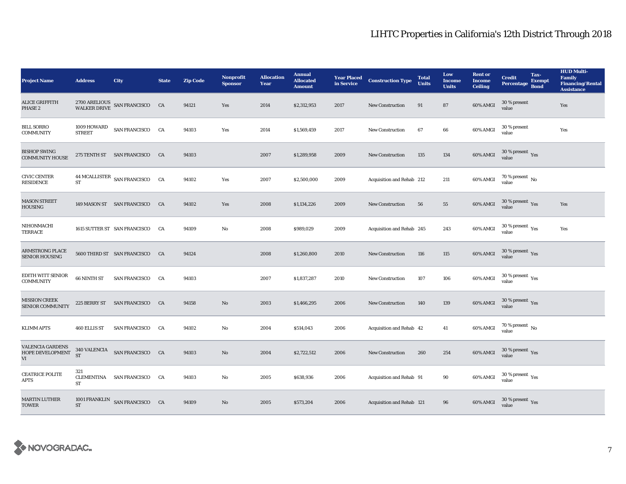| <b>Project Name</b>                               | <b>Address</b>                 | City                                        | <b>State</b> | <b>Zip Code</b> | <b>Nonprofit</b><br><b>Sponsor</b> | <b>Allocation</b><br>Year | <b>Annual</b><br><b>Allocated</b><br><b>Amount</b> | <b>Year Placed<br/>in Service</b> | <b>Construction Type</b>  | <b>Total</b><br><b>Units</b> | Low<br><b>Income</b><br><b>Units</b> | <b>Rent or</b><br><b>Income</b><br><b>Ceiling</b> | <b>Credit</b><br><b>Percentage</b>        | Tax-<br><b>Exempt</b><br><b>Bond</b> | <b>HUD Multi-</b><br><b>Family</b><br><b>Financing/Rental</b><br><b>Assistance</b> |
|---------------------------------------------------|--------------------------------|---------------------------------------------|--------------|-----------------|------------------------------------|---------------------------|----------------------------------------------------|-----------------------------------|---------------------------|------------------------------|--------------------------------------|---------------------------------------------------|-------------------------------------------|--------------------------------------|------------------------------------------------------------------------------------|
| <b>ALICE GRIFFITH</b><br>PHASE 2                  |                                | 2700 ARELIOUS SAN FRANCISCO CA WALKER DRIVE |              | 94121           | Yes                                | 2014                      | \$2,312,953                                        | 2017                              | <b>New Construction</b>   | 91                           | 87                                   | 60% AMGI                                          | 30 % present<br>value                     |                                      | Yes                                                                                |
| <b>BILL SORRO</b><br><b>COMMUNITY</b>             | 1009 HOWARD<br>STREET          | SAN FRANCISCO CA                            |              | 94103           | Yes                                | 2014                      | \$1,569,459                                        | 2017                              | <b>New Construction</b>   | 67                           | 66                                   | 60% AMGI                                          | 30 % present<br>value                     |                                      | Yes                                                                                |
| <b>BISHOP SWING</b><br><b>COMMUNITY HOUSE</b>     |                                | 275 TENTH ST SAN FRANCISCO                  | CA           | 94103           |                                    | 2007                      | \$1,289,958                                        | 2009                              | <b>New Construction</b>   | 135                          | 134                                  | 60% AMGI                                          | $30\,\%$ present $\,$ Yes value           |                                      |                                                                                    |
| <b>CIVIC CENTER</b><br><b>RESIDENCE</b>           | ST                             | 44 MCALLISTER SAN FRANCISCO CA              |              | 94102           | Yes                                | 2007                      | \$2,500,000                                        | 2009                              | Acquisition and Rehab 212 |                              | 211                                  | 60% AMGI                                          | 70 % present $\,$ No $\,$<br>value        |                                      |                                                                                    |
| <b>MASON STREET</b><br><b>HOUSING</b>             |                                | 149 MASON ST SAN FRANCISCO CA               |              | 94102           | Yes                                | 2008                      | \$1,134,226                                        | 2009                              | New Construction          | 56                           | 55                                   | 60% AMGI                                          | $30\,\%$ present $\,$ Yes value           |                                      | Yes                                                                                |
| NIHONMACHI<br>TERRACE                             |                                | 1615 SUTTER ST SAN FRANCISCO                | CA           | 94109           | No                                 | 2008                      | \$989,029                                          | 2009                              | Acquisition and Rehab 245 |                              | 243                                  | 60% AMGI                                          | $30\,\%$ present $\,$ Yes value           |                                      | Yes                                                                                |
| <b>ARMSTRONG PLACE</b><br><b>SENIOR HOUSING</b>   |                                | 5600 THIRD ST SAN FRANCISCO                 | CA           | 94124           |                                    | 2008                      | \$1,260,800                                        | 2010                              | <b>New Construction</b>   | 116                          | 115                                  | 60% AMGI                                          | $30\,\%$ present $\,\mathrm{Yes}$ value   |                                      |                                                                                    |
| EDITH WITT SENIOR<br><b>COMMUNITY</b>             | 66 NINTH ST                    | SAN FRANCISCO CA                            |              | 94103           |                                    | 2007                      | \$1,837,287                                        | 2010                              | <b>New Construction</b>   | 107                          | 106                                  | 60% AMGI                                          | $30\,\%$ present $\,$ $\rm{Yes}$<br>value |                                      |                                                                                    |
| <b>MISSION CREEK</b><br><b>SENIOR COMMUNITY</b>   |                                | 225 BERRY ST SAN FRANCISCO CA               |              | 94158           | No                                 | 2003                      | \$1,466,295                                        | 2006                              | <b>New Construction</b>   | 140                          | 139                                  | 60% AMGI                                          | $30\,\%$ present $\,\mathrm{Yes}$ value   |                                      |                                                                                    |
| <b>KLIMM APTS</b>                                 | <b>460 ELLIS ST</b>            | <b>SAN FRANCISCO</b>                        | CA           | 94102           | No                                 | 2004                      | \$514,043                                          | 2006                              | Acquisition and Rehab 42  |                              | 41                                   | 60% AMGI                                          | 70 % present $\,$ No $\,$<br>value        |                                      |                                                                                    |
| <b>VALENCIA GARDENS</b><br>HOPE DEVELOPMENT<br>VI | <b>ST</b>                      | 340 VALENCIA SAN FRANCISCO CA               |              | 94103           | No                                 | 2004                      | \$2,722,512                                        | 2006                              | <b>New Construction</b>   | 260                          | 254                                  | 60% AMGI                                          | $30\,\%$ present $\,\mathrm{Yes}$ value   |                                      |                                                                                    |
| <b>CEATRICE POLITE</b><br><b>APTS</b>             | 321<br><b>CLEMENTINA</b><br>ST | SAN FRANCISCO CA                            |              | 94103           | No                                 | 2005                      | \$638,936                                          | 2006                              | Acquisition and Rehab 91  |                              | 90                                   | 60% AMGI                                          | $30\,\%$ present $\,$ $\rm Yes$<br>value  |                                      |                                                                                    |
| <b>MARTIN LUTHER</b><br><b>TOWER</b>              | <b>ST</b>                      | 1001 FRANKLIN SAN FRANCISCO CA              |              | 94109           | No                                 | 2005                      | \$573,204                                          | 2006                              | Acquisition and Rehab 121 |                              | 96                                   | 60% AMGI                                          | $30\,\%$ present $\,\mathrm{Yes}$ value   |                                      |                                                                                    |

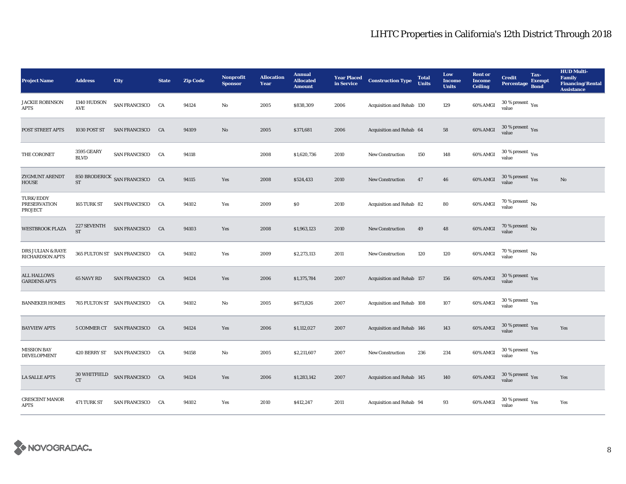| <b>Project Name</b>                                    | <b>Address</b>                   | City                           | <b>State</b> | <b>Zip Code</b> | <b>Nonprofit</b><br><b>Sponsor</b> | <b>Allocation</b><br>Year | <b>Annual</b><br><b>Allocated</b><br><b>Amount</b> | <b>Year Placed<br/>in Service</b> | <b>Construction Type</b>  | <b>Total</b><br><b>Units</b> | Low<br><b>Income</b><br><b>Units</b> | <b>Rent or</b><br><b>Income</b><br><b>Ceiling</b> | <b>Credit</b><br><b>Percentage</b>      | Tax-<br><b>Exempt</b><br><b>Bond</b> | <b>HUD Multi-</b><br><b>Family</b><br><b>Financing/Rental</b><br><b>Assistance</b> |
|--------------------------------------------------------|----------------------------------|--------------------------------|--------------|-----------------|------------------------------------|---------------------------|----------------------------------------------------|-----------------------------------|---------------------------|------------------------------|--------------------------------------|---------------------------------------------------|-----------------------------------------|--------------------------------------|------------------------------------------------------------------------------------|
| <b>JACKIE ROBINSON</b><br><b>APTS</b>                  | 1340 HUDSON<br>AVE               | SAN FRANCISCO                  | CA           | 94124           | No                                 | 2005                      | \$838,309                                          | 2006                              | Acquisition and Rehab 130 |                              | 129                                  | 60% AMGI                                          | $30$ % present $\,$ $\rm Yes$<br>value  |                                      |                                                                                    |
| POST STREET APTS                                       | 1030 POST ST                     | SAN FRANCISCO CA               |              | 94109           | $\mathbf{No}$                      | 2005                      | \$371,681                                          | 2006                              | Acquisition and Rehab 64  |                              | 58                                   | 60% AMGI                                          | $30\,\%$ present $\,$ Yes value         |                                      |                                                                                    |
| THE CORONET                                            | <b>3595 GEARY</b><br><b>BLVD</b> | <b>SAN FRANCISCO</b>           | CA           | 94118           |                                    | 2008                      | \$1,620,736                                        | 2010                              | <b>New Construction</b>   | 150                          | 148                                  | 60% AMGI                                          | $30\,\%$ present $\,\mathrm{Yes}$ value |                                      |                                                                                    |
| <b>ZYGMUNT ARENDT</b><br><b>HOUSE</b>                  | $\operatorname{ST}$              | 850 BRODERICK SAN FRANCISCO CA |              | 94115           | Yes                                | 2008                      | \$524,433                                          | 2010                              | New Construction          | 47                           | ${\bf 46}$                           | 60% AMGI                                          | $30\,\%$ present $\,$ Yes value         |                                      | $\rm No$                                                                           |
| TURK/EDDY<br><b>PRESERVATION</b><br><b>PROJECT</b>     | 165 TURK ST                      | <b>SAN FRANCISCO</b>           | CA           | 94102           | Yes                                | 2009                      | $\$0$                                              | 2010                              | Acquisition and Rehab 82  |                              | 80                                   | 60% AMGI                                          | $70$ % present $\,$ No value            |                                      |                                                                                    |
| <b>WESTBROOK PLAZA</b>                                 | 227 SEVENTH<br><b>ST</b>         | SAN FRANCISCO CA               |              | 94103           | Yes                                | 2008                      | \$1,963,123                                        | 2010                              | <b>New Construction</b>   | 49                           | 48                                   | 60% AMGI                                          | $70$ % present $\,$ No value            |                                      |                                                                                    |
| <b>DRS JULIAN &amp; RAYE</b><br><b>RICHARDSON APTS</b> |                                  | 365 FULTON ST SAN FRANCISCO    | CA           | 94102           | Yes                                | 2009                      | \$2,273,113                                        | 2011                              | <b>New Construction</b>   | 120                          | 120                                  | 60% AMGI                                          | 70 % present $\,$ No $\,$<br>value      |                                      |                                                                                    |
| <b>ALL HALLOWS</b><br><b>GARDENS APTS</b>              | 65 NAVY RD                       | SAN FRANCISCO CA               |              | 94124           | Yes                                | 2006                      | \$1,375,784                                        | 2007                              | Acquisition and Rehab 157 |                              | 156                                  | 60% AMGI                                          | $30\,\%$ present $\,$ Yes value         |                                      |                                                                                    |
| <b>BANNEKER HOMES</b>                                  |                                  | 765 FULTON ST SAN FRANCISCO    | CA           | 94102           | No                                 | 2005                      | \$673,826                                          | 2007                              | Acquisition and Rehab 108 |                              | 107                                  | 60% AMGI                                          | $30\,\%$ present $\,\mathrm{Yes}$ value |                                      |                                                                                    |
| <b>BAYVIEW APTS</b>                                    |                                  | 5 COMMER CT SAN FRANCISCO      | CA           | 94124           | Yes                                | 2006                      | \$1,112,027                                        | 2007                              | Acquisition and Rehab 146 |                              | 143                                  | 60% AMGI                                          | $30\,\%$ present $\,$ Yes value         |                                      | Yes                                                                                |
| <b>MISSION BAY</b><br>DEVELOPMENT                      |                                  | 420 BERRY ST SAN FRANCISCO CA  |              | 94158           | No                                 | 2005                      | \$2,211,607                                        | 2007                              | New Construction          | 236                          | 234                                  | 60% AMGI                                          | $30\,\%$ present $\,$ Yes value         |                                      |                                                                                    |
| <b>LA SALLE APTS</b>                                   | 30 WHITFIELD<br><b>CT</b>        | SAN FRANCISCO CA               |              | 94124           | Yes                                | 2006                      | \$1,283,142                                        | 2007                              | Acquisition and Rehab 145 |                              | 140                                  | 60% AMGI                                          | $30\,\%$ present $\,$ Yes value         |                                      | Yes                                                                                |
| <b>CRESCENT MANOR</b><br><b>APTS</b>                   | 471 TURK ST                      | <b>SAN FRANCISCO</b>           | <b>CA</b>    | 94102           | Yes                                | 2010                      | \$412,247                                          | 2011                              | Acquisition and Rehab 94  |                              | 93                                   | 60% AMGI                                          | $30$ % present $\,$ $\rm Yes$<br>value  |                                      | Yes                                                                                |

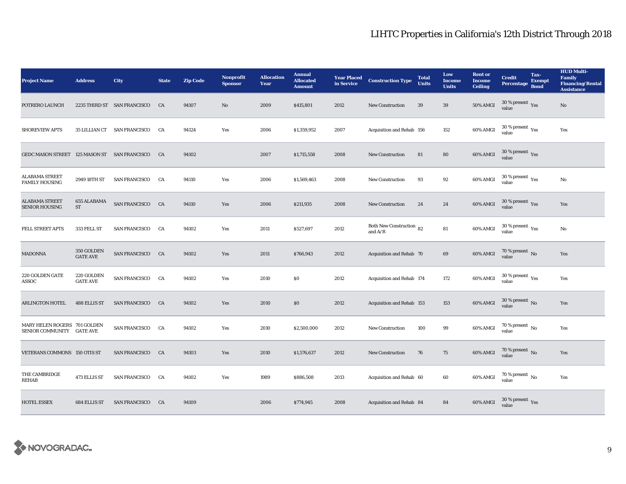| <b>Project Name</b>                                       | <b>Address</b>                | City                           | <b>State</b> | <b>Zip Code</b> | <b>Nonprofit</b><br><b>Sponsor</b> | <b>Allocation</b><br>Year | <b>Annual</b><br><b>Allocated</b><br><b>Amount</b> | <b>Year Placed<br/>in Service</b> | <b>Construction Type</b>                   | <b>Total</b><br><b>Units</b> | Low<br><b>Income</b><br><b>Units</b> | <b>Rent or</b><br><b>Income</b><br><b>Ceiling</b> | <b>Credit</b><br><b>Percentage</b>       | Tax-<br><b>Exempt</b><br><b>Bond</b> | <b>HUD Multi-</b><br><b>Family</b><br><b>Financing/Rental</b><br><b>Assistance</b> |
|-----------------------------------------------------------|-------------------------------|--------------------------------|--------------|-----------------|------------------------------------|---------------------------|----------------------------------------------------|-----------------------------------|--------------------------------------------|------------------------------|--------------------------------------|---------------------------------------------------|------------------------------------------|--------------------------------------|------------------------------------------------------------------------------------|
| POTRERO LAUNCH                                            |                               | 2235 THIRD ST SAN FRANCISCO    | CA           | 94107           | No                                 | 2009                      | \$415,801                                          | 2012                              | <b>New Construction</b>                    | 39                           | 39                                   | <b>50% AMGI</b>                                   | $30$ % present $\,$ $\rm Yes$<br>value   |                                      | No                                                                                 |
| <b>SHOREVIEW APTS</b>                                     |                               | 35 LILLIAN CT SAN FRANCISCO CA |              | 94124           | Yes                                | 2006                      | \$1,359,952                                        | 2007                              | Acquisition and Rehab 156                  |                              | 152                                  | 60% AMGI                                          | $30\,\%$ present $\,\mathrm{Yes}$ value  |                                      | Yes                                                                                |
| GEDC MASON STREET 125 MASON ST SAN FRANCISCO              |                               |                                | CA           | 94102           |                                    | 2007                      | \$1,715,558                                        | 2008                              | <b>New Construction</b>                    | 81                           | 80                                   | 60% AMGI                                          | $30\,\%$ present $\,\mathrm{Yes}$ value  |                                      |                                                                                    |
| <b>ALABAMA STREET</b><br><b>FAMILY HOUSING</b>            | 2949 18TH ST                  | <b>SAN FRANCISCO</b>           | CA           | 94110           | Yes                                | 2006                      | \$1,569,463                                        | 2008                              | <b>New Construction</b>                    | 93                           | 92                                   | 60% AMGI                                          | $30\,\%$ present $\,$ $\rm Yes$<br>value |                                      | No                                                                                 |
| <b>ALABAMA STREET</b><br><b>SENIOR HOUSING</b>            | 655 ALABAMA<br>ST             | SAN FRANCISCO CA               |              | 94110           | Yes                                | 2006                      | \$211,935                                          | 2008                              | <b>New Construction</b>                    | 24                           | 24                                   | 60% AMGI                                          | $30\,\%$ present $\,$ Yes value          |                                      | Yes                                                                                |
| FELL STREET APTS                                          | 333 FELL ST                   | SAN FRANCISCO CA               |              | 94102           | Yes                                | 2011                      | \$527,697                                          | 2012                              | Both New Construction 82<br>and $\rm{A/R}$ |                              | ${\bf 81}$                           | 60% AMGI                                          | $30\,\%$ present $\,$ Yes value          |                                      | No                                                                                 |
| <b>MADONNA</b>                                            | 350 GOLDEN<br><b>GATE AVE</b> | SAN FRANCISCO CA               |              | 94102           | Yes                                | 2011                      | \$766,943                                          | 2012                              | Acquisition and Rehab 70                   |                              | 69                                   | <b>60% AMGI</b>                                   | $70$ % present $\,$ No value             |                                      | Yes                                                                                |
| 220 GOLDEN GATE<br>ASSOC                                  | 220 GOLDEN<br><b>GATE AVE</b> | SAN FRANCISCO CA               |              | 94102           | Yes                                | 2010                      | \$0                                                | 2012                              | Acquisition and Rehab 174                  |                              | 172                                  | 60% AMGI                                          | $30\,\%$ present $\,\mathrm{Yes}$ value  |                                      | Yes                                                                                |
| <b>ARLINGTON HOTEL</b>                                    | 488 ELLIS ST                  | SAN FRANCISCO CA               |              | 94102           | Yes                                | 2010                      | $\$0$                                              | 2012                              | Acquisition and Rehab 153                  |                              | 153                                  | 60% AMGI                                          | $30\,\%$ present $\,$ No value           |                                      | Yes                                                                                |
| MARY HELEN ROGERS 701 GOLDEN<br>SENIOR COMMUNITY GATE AVE |                               | SAN FRANCISCO CA               |              | 94102           | Yes                                | 2010                      | \$2,500,000                                        | 2012                              | <b>New Construction</b>                    | 100                          | 99                                   | 60% AMGI                                          | 70 % present $\,$ No $\,$<br>value       |                                      | Yes                                                                                |
| VETERANS COMMONS 150 OTIS ST                              |                               | SAN FRANCISCO CA               |              | 94103           | Yes                                | 2010                      | \$1,576,637                                        | 2012                              | <b>New Construction</b>                    | 76                           | 75                                   | 60% AMGI                                          | $70$ % present $\,$ No $\,$ value        |                                      | Yes                                                                                |
| THE CAMBRIDGE<br>REHAB                                    | 473 ELLIS ST                  | <b>SAN FRANCISCO</b>           | CA           | 94102           | Yes                                | 1989                      | \$886,508                                          | 2013                              | Acquisition and Rehab 60                   |                              | 60                                   | 60% AMGI                                          | 70 % present $\,$ No $\,$<br>value       |                                      | Yes                                                                                |
| <b>HOTEL ESSEX</b>                                        | 684 ELLIS ST                  | SAN FRANCISCO CA               |              | 94109           |                                    | 2006                      | \$774,945                                          | 2008                              | Acquisition and Rehab 84                   |                              | 84                                   | 60% AMGI                                          | $30\,\%$ present $\,\mathrm{Yes}$ value  |                                      |                                                                                    |

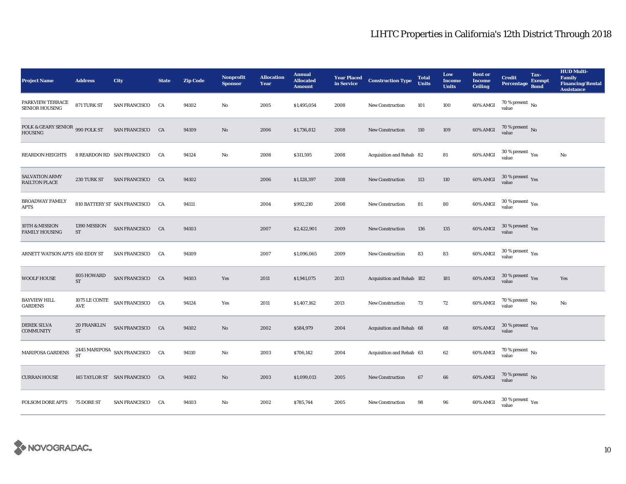| <b>Project Name</b>                        | <b>Address</b>                      | <b>City</b>                     | <b>State</b> | <b>Zip Code</b> | <b>Nonprofit</b><br><b>Sponsor</b> | <b>Allocation</b><br>Year | <b>Annual</b><br><b>Allocated</b><br><b>Amount</b> |      | <b>Year Placed Construction Type</b><br>in Service <b>Construction</b> Type | <b>Total</b><br><b>Units</b> | Low<br><b>Income</b><br><b>Units</b> | <b>Rent or</b><br><b>Income</b><br><b>Ceiling</b> | <b>Credit</b><br><b>Percentage</b>      | Tax-<br><b>Exempt</b><br><b>Bond</b> | <b>HUD Multi-</b><br>Family<br><b>Financing/Rental</b><br><b>Assistance</b> |
|--------------------------------------------|-------------------------------------|---------------------------------|--------------|-----------------|------------------------------------|---------------------------|----------------------------------------------------|------|-----------------------------------------------------------------------------|------------------------------|--------------------------------------|---------------------------------------------------|-----------------------------------------|--------------------------------------|-----------------------------------------------------------------------------|
| PARKVIEW TERRACE<br>SENIOR HOUSING         | 871 TURK ST                         | SAN FRANCISCO                   | CA           | 94102           | $\mathbf{No}$                      | 2005                      | \$1,495,054                                        | 2008 | <b>New Construction</b>                                                     | 101                          | 100                                  | 60% AMGI                                          | 70 % present $\,$ No $\,$<br>value      |                                      |                                                                             |
| POLK & GEARY SENIOR 990 POLK ST<br>HOUSING |                                     | SAN FRANCISCO CA                |              | 94109           | $\mathbf{No}$                      | 2006                      | \$1,736,812                                        | 2008 | <b>New Construction</b>                                                     | 110                          | 109                                  | 60% AMGI                                          | $70$ % present $\,$ No value            |                                      |                                                                             |
| <b>REARDON HEIGHTS</b>                     |                                     | 8 REARDON RD SAN FRANCISCO      | <b>CA</b>    | 94124           | No                                 | 2008                      | \$311,595                                          | 2008 | Acquisition and Rehab 82                                                    |                              | 81                                   | 60% AMGI                                          | $30\,\%$ present $\,\mathrm{Yes}$ value |                                      | $\rm No$                                                                    |
| SALVATION ARMY<br><b>RAILTON PLACE</b>     | 230 TURK ST                         | SAN FRANCISCO CA                |              | 94102           |                                    | 2006                      | \$1,128,397                                        | 2008 | New Construction                                                            | 113                          | 110                                  | 60% AMGI                                          | $30\,\%$ present $\,$ Yes value         |                                      |                                                                             |
| <b>BROADWAY FAMILY</b><br><b>APTS</b>      |                                     | 810 BATTERY ST SAN FRANCISCO CA |              | 94111           |                                    | 2004                      | \$992,210                                          | 2008 | <b>New Construction</b>                                                     | 81                           | 80                                   | 60% AMGI                                          | $30\,\%$ present $\,\mathrm{Yes}$ value |                                      |                                                                             |
| 10TH & MISSION<br><b>FAMILY HOUSING</b>    | 1390 MISSION<br>$\operatorname{ST}$ | SAN FRANCISCO CA                |              | 94103           |                                    | 2007                      | \$2,422,901                                        | 2009 | <b>New Construction</b>                                                     | 136                          | $135\,$                              | 60% AMGI                                          | $30\,\%$ present $\,$ Yes value         |                                      |                                                                             |
| ARNETT WATSON APTS 650 EDDY ST             |                                     | <b>SAN FRANCISCO</b>            | CA           | 94109           |                                    | 2007                      | \$1,096,065                                        | 2009 | New Construction                                                            | 83                           | ${\bf 83}$                           | 60% AMGI                                          | $30\,\%$ present $\,\mathrm{Yes}$ value |                                      |                                                                             |
| <b>WOOLF HOUSE</b>                         | 805 HOWARD<br><b>ST</b>             | SAN FRANCISCO CA                |              | 94103           | Yes                                | 2011                      | \$1,941,075                                        | 2013 | Acquisition and Rehab 182                                                   |                              | 181                                  | 60% AMGI                                          | $30\,\%$ present $\,\mathrm{Yes}$ value |                                      | Yes                                                                         |
| <b>BAYVIEW HILL</b><br><b>GARDENS</b>      | $\operatorname{\mathsf{AVE}}$       | 1075 LE CONTE SAN FRANCISCO CA  |              | 94124           | Yes                                | 2011                      | \$1,407,162                                        | 2013 | <b>New Construction</b>                                                     | 73                           | 72                                   | 60% AMGI                                          | $70$ % present $_{\rm{No}}$             |                                      | $\rm No$                                                                    |
| <b>DEREK SILVA</b><br><b>COMMUNITY</b>     | 20 FRANKLIN<br><b>ST</b>            | SAN FRANCISCO CA                |              | 94102           | No                                 | 2002                      | \$584,979                                          | 2004 | Acquisition and Rehab 68                                                    |                              | 68                                   | 60% AMGI                                          | $30\,\%$ present $\,\mathrm{Yes}$ value |                                      |                                                                             |
| <b>MARIPOSA GARDENS</b>                    | ST                                  | 2445 MARIPOSA SAN FRANCISCO CA  |              | 94110           | No                                 | 2003                      | \$706,142                                          | 2004 | Acquisition and Rehab 63                                                    |                              | 62                                   | 60% AMGI                                          | $70\,\%$ present $\,$ No value          |                                      |                                                                             |
| <b>CURRAN HOUSE</b>                        |                                     | 145 TAYLOR ST SAN FRANCISCO CA  |              | 94102           | $\mathbf{No}$                      | 2003                      | \$1,099,013                                        | 2005 | New Construction                                                            | 67                           | $\bf{66}$                            | 60% AMGI                                          | $70\,\%$ present $\,$ No value          |                                      |                                                                             |
| <b>FOLSOM DORE APTS</b>                    | 75 DORE ST                          | SAN FRANCISCO CA                |              | 94103           | No                                 | 2002                      | \$785,744                                          | 2005 | <b>New Construction</b>                                                     | 98                           | 96                                   | 60% AMGI                                          | $30\,\%$ present $\,\mathrm{Yes}$ value |                                      |                                                                             |

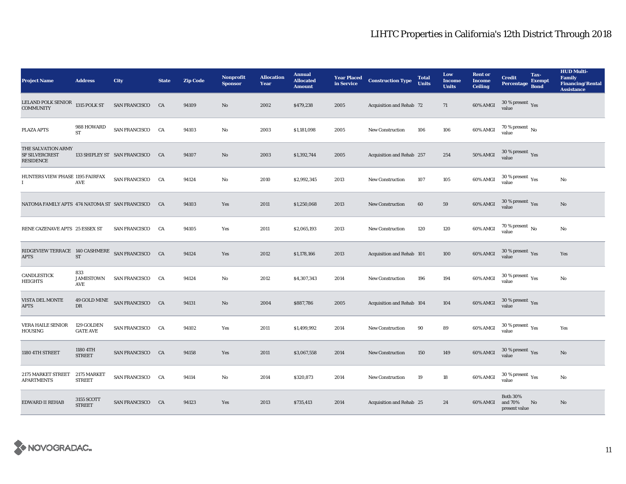| <b>Project Name</b>                                             | <b>Address</b>                 | City                            | <b>State</b> | <b>Zip Code</b> | Nonprofit<br><b>Sponsor</b> | <b>Allocation</b><br>Year | <b>Annual</b><br><b>Allocated</b><br><b>Amount</b> | <b>Year Placed</b><br>in Service | <b>Construction Type</b>  | <b>Total</b><br><b>Units</b> | Low<br><b>Income</b><br><b>Units</b> | <b>Rent or</b><br><b>Income</b><br><b>Ceiling</b> | <b>Credit</b><br><b>Percentage</b>              | Tax-<br><b>Exempt</b><br><b>Bond</b> | <b>HUD Multi-</b><br><b>Family</b><br><b>Financing/Rental</b><br><b>Assistance</b> |
|-----------------------------------------------------------------|--------------------------------|---------------------------------|--------------|-----------------|-----------------------------|---------------------------|----------------------------------------------------|----------------------------------|---------------------------|------------------------------|--------------------------------------|---------------------------------------------------|-------------------------------------------------|--------------------------------------|------------------------------------------------------------------------------------|
| LELAND POLK SENIOR 1315 POLK ST<br><b>COMMUNITY</b>             |                                | <b>SAN FRANCISCO</b>            | CA           | 94109           | No                          | 2002                      | \$479,238                                          | 2005                             | Acquisition and Rehab 72  |                              | 71                                   | 60% AMGI                                          | $30$ % present $\,$ $\rm Yes$<br>value          |                                      |                                                                                    |
| <b>PLAZA APTS</b>                                               | 988 HOWARD<br><b>ST</b>        | SAN FRANCISCO CA                |              | 94103           | $\mathbf{No}$               | 2003                      | \$1,181,098                                        | 2005                             | <b>New Construction</b>   | 106                          | 106                                  | 60% AMGI                                          | 70 % present $\,$ No $\,$<br>value              |                                      |                                                                                    |
| THE SALVATION ARMY<br><b>SF SILVERCREST</b><br><b>RESIDENCE</b> |                                | 133 SHIPLEY ST SAN FRANCISCO CA |              | 94107           | $\mathbf{N}\mathbf{o}$      | 2003                      | \$1,392,744                                        | 2005                             | Acquisition and Rehab 257 |                              | 254                                  | <b>50% AMGI</b>                                   | $30\,\%$ present $\,$ Yes value                 |                                      |                                                                                    |
| HUNTERS VIEW PHASE 1195 FAIRFAX<br>Ι.                           | AVE                            | <b>SAN FRANCISCO</b>            | CA           | 94124           | No                          | 2010                      | \$2,992,345                                        | 2013                             | New Construction          | 107                          | 105                                  | 60% AMGI                                          | $30\,\%$ present $\rm \chi_{ES}$<br>value       |                                      | No                                                                                 |
| NATOMA FAMILY APTS 474 NATOMA ST SAN FRANCISCO CA               |                                |                                 |              | 94103           | Yes                         | 2011                      | \$1,250,068                                        | 2013                             | <b>New Construction</b>   | 60                           | 59                                   | 60% AMGI                                          | $30\,\%$ present $\,$ $\rm Yes$<br>value        |                                      | No                                                                                 |
| RENE CAZENAVE APTS 25 ESSEX ST                                  |                                | <b>SAN FRANCISCO</b>            | CA           | 94105           | Yes                         | 2011                      | \$2,065,193                                        | 2013                             | <b>New Construction</b>   | 120                          | 120                                  | 60% AMGI                                          | $70$ % present $\,$ No $\,$<br>value            |                                      | No                                                                                 |
| RIDGEVIEW TERRACE 140 CASHMERE SAN FRANCISCO CA<br><b>APTS</b>  | ST                             |                                 |              | 94124           | Yes                         | 2012                      | \$1,178,166                                        | 2013                             | Acquisition and Rehab 101 |                              | 100                                  | 60% AMGI                                          | $30\,\%$ present $\,\mathrm{Yes}$<br>value      |                                      | Yes                                                                                |
| CANDLESTICK<br><b>HEIGHTS</b>                                   | 833<br><b>JAMESTOWN</b><br>AVE | SAN FRANCISCO CA                |              | 94124           | No                          | 2012                      | \$4,307,343                                        | 2014                             | <b>New Construction</b>   | 196                          | 194                                  | 60% AMGI                                          | $30\,\%$ present $\rm\thinspace_{Yes}$<br>value |                                      | No                                                                                 |
| VISTA DEL MONTE<br><b>APTS</b>                                  | DR                             | 49 GOLD MINE SAN FRANCISCO CA   |              | 94131           | No                          | 2004                      | \$887,786                                          | 2005                             | Acquisition and Rehab 104 |                              | 104                                  | 60% AMGI                                          | $30\,\%$ present $\,\mathrm{Yes}$ value         |                                      |                                                                                    |
| <b>VERA HAILE SENIOR</b><br><b>HOUSING</b>                      | 129 GOLDEN<br><b>GATE AVE</b>  | SAN FRANCISCO CA                |              | 94102           | Yes                         | 2011                      | \$1,499,992                                        | 2014                             | New Construction          | 90                           | 89                                   | 60% AMGI                                          | $30\,\%$ present $\rm\thinspace_{Yes}$<br>value |                                      | Yes                                                                                |
| 1180 4TH STREET                                                 | 1180 4TH<br><b>STREET</b>      | SAN FRANCISCO CA                |              | 94158           | Yes                         | 2011                      | \$3,067,558                                        | 2014                             | <b>New Construction</b>   | 150                          | 149                                  | 60% AMGI                                          | $30\,\%$ present $\,\mathrm{Yes}$ value         |                                      | $\rm No$                                                                           |
| 2175 MARKET STREET<br><b>APARTMENTS</b>                         | 2175 MARKET<br><b>STREET</b>   | SAN FRANCISCO CA                |              | 94114           | No                          | 2014                      | \$320,873                                          | 2014                             | <b>New Construction</b>   | 19                           | 18                                   | 60% AMGI                                          | $30\,\%$ present $\rm\thinspace_{Yes}$<br>value |                                      | No                                                                                 |
| <b>EDWARD II REHAB</b>                                          | 3155 SCOTT<br><b>STREET</b>    | SAN FRANCISCO CA                |              | 94123           | Yes                         | 2013                      | \$735,413                                          | 2014                             | Acquisition and Rehab 25  |                              | 24                                   | 60% AMGI                                          | <b>Both 30%</b><br>and 70%<br>present value     | No                                   | No                                                                                 |

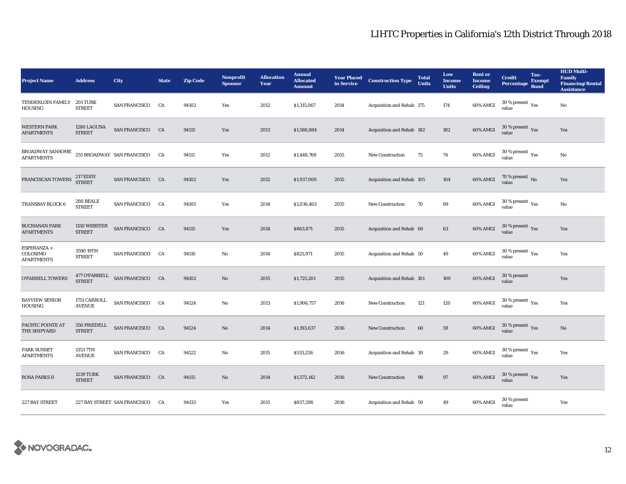| <b>Project Name</b>                          | <b>Address</b>                    | City                                              | <b>State</b> | <b>Zip Code</b> | <b>Nonprofit</b><br><b>Sponsor</b> | <b>Allocation</b><br>Year | <b>Annual</b><br><b>Allocated</b><br><b>Amount</b> | <b>Year Placed<br/>in Service</b> | <b>Construction Type</b>  | <b>Total</b><br><b>Units</b> | Low<br><b>Income</b><br><b>Units</b> | <b>Rent or</b><br><b>Income</b><br><b>Ceiling</b> | <b>Credit</b><br><b>Percentage</b>          | Tax-<br><b>Exempt</b><br><b>Bond</b> | <b>HUD Multi-</b><br><b>Family</b><br><b>Financing/Rental</b><br><b>Assistance</b> |
|----------------------------------------------|-----------------------------------|---------------------------------------------------|--------------|-----------------|------------------------------------|---------------------------|----------------------------------------------------|-----------------------------------|---------------------------|------------------------------|--------------------------------------|---------------------------------------------------|---------------------------------------------|--------------------------------------|------------------------------------------------------------------------------------|
| TENDERLOIN FAMILY 201 TURK<br><b>HOUSING</b> | <b>STREET</b>                     | <b>SAN FRANCISCO</b>                              | CA           | 94102           | Yes                                | 2012                      | \$1,315,067                                        | 2014                              | Acquisition and Rehab 175 |                              | 174                                  | 60% AMGI                                          | $30$ % present $\,$ $\rm Yes$<br>value      |                                      | No                                                                                 |
| <b>WESTERN PARK</b><br><b>APARTMENTS</b>     | 1280 LAGUNA<br><b>STREET</b>      | SAN FRANCISCO CA                                  |              | 94115           | Yes                                | 2013                      | \$1,588,884                                        | 2014                              | Acquisition and Rehab 182 |                              | 182                                  | 60% AMGI                                          | $30\ \%$ present $\ _{Yes}$ value           |                                      | Yes                                                                                |
| BROADWAY SANSOME<br><b>APARTMENTS</b>        |                                   | 255 BROADWAY SAN FRANCISCO CA                     |              | 94111           | Yes                                | 2012                      | \$1,448,769                                        | 2015                              | <b>New Construction</b>   | 75                           | 74                                   | 60% AMGI                                          | $30\,\%$ present $\,\mathrm{Yes}$ value     |                                      | No                                                                                 |
| FRANCISCAN TOWERS                            | <b>217 EDDY</b><br><b>STREET</b>  | SAN FRANCISCO CA                                  |              | 94102           | Yes                                | 2012                      | \$1,937,000                                        | 2015                              | Acquisition and Rehab 105 |                              | 104                                  | 60% AMGI                                          | $70$ % present $\,$ No value                |                                      | Yes                                                                                |
| TRANSBAY BLOCK 6                             | 280 BEALE<br><b>STREET</b>        | SAN FRANCISCO CA                                  |              | 94105           | Yes                                | 2014                      | \$1,036,463                                        | 2015                              | New Construction          | 70                           | 69                                   | 60% AMGI                                          | $30\,\%$ present $\,$ $\rm Yes$<br>value    |                                      | No                                                                                 |
| <b>BUCHANAN PARK</b><br><b>APARTMENTS</b>    | 1150 WEBSTER<br><b>STREET</b>     | SAN FRANCISCO CA                                  |              | 94115           | Yes                                | 2014                      | \$863,871                                          | 2015                              | Acquisition and Rehab 68  |                              | 63                                   | 60% AMGI                                          | $30\,\%$ present $\,\mathrm{Yes}$ value     |                                      | Yes                                                                                |
| ESPERANZA +<br>COLOSIMO<br><b>APARTMENTS</b> | 3590 19TH<br><b>STREET</b>        | <b>SAN FRANCISCO</b>                              | CA           | 94110           | No                                 | 2014                      | \$825,971                                          | 2015                              | Acquisition and Rehab 50  |                              | 49                                   | 60% AMGI                                          | $30$ % present $\,$ $\rm Yes$<br>value      |                                      | Yes                                                                                |
| O'FARRELL TOWERS                             |                                   | $477$ O'FARRELL $\;$ SAN FRANCISCO $\;$ CA STREET |              | 94102           | $\mathbf{N}\mathbf{o}$             | 2015                      | \$1,725,201                                        | 2015                              | Acquisition and Rehab 101 |                              | 100                                  | 60% AMGI                                          | 30 % present<br>value                       |                                      | Yes                                                                                |
| <b>BAYVIEW SENIOR</b><br><b>HOUSING</b>      | 1751 CARROLL<br><b>AVENUE</b>     | SAN FRANCISCO CA                                  |              | 94124           | No                                 | 2013                      | \$1,906,757                                        | 2016                              | <b>New Construction</b>   | 121                          | 120                                  | 60% AMGI                                          | $30\,\%$ present $\,$ $\rm{Yes}$<br>value   |                                      | Yes                                                                                |
| PACIFIC POINTE AT<br>THE SHIPYARD            | 350 FRIEDELL<br><b>STREET</b>     | SAN FRANCISCO CA                                  |              | 94124           | $\mathbf{N}\mathbf{o}$             | 2014                      | \$1,193,637                                        | 2016                              | <b>New Construction</b>   | $60\,$                       | 59                                   | 60% AMGI                                          | $30\,\%$ present $\,$ $_{\rm Yes}$<br>value |                                      | $\rm No$                                                                           |
| <b>PARK SUNSET</b><br><b>APARTMENTS</b>      | 1353 7TH<br><b>AVENUE</b>         | <b>SAN FRANCISCO</b>                              | CA           | 94122           | No                                 | 2015                      | \$533,226                                          | 2016                              | Acquisition and Rehab 30  |                              | 29                                   | 60% AMGI                                          | $30\,\%$ present $\,\mathrm{Yes}$ value     |                                      | Yes                                                                                |
| <b>ROSA PARKS II</b>                         | <b>1239 TURK</b><br><b>STREET</b> | SAN FRANCISCO CA                                  |              | 94115           | $\mathbf{No}$                      | 2014                      | \$1,572,142                                        | 2016                              | <b>New Construction</b>   | 98                           | 97                                   | 60% AMGI                                          | $30\,\%$ present $\,$ Yes value             |                                      | Yes                                                                                |
| 227 BAY STREET                               |                                   | 227 BAY STREET SAN FRANCISCO                      | <b>CA</b>    | 94133           | Yes                                | 2015                      | \$837,298                                          | 2016                              | Acquisition and Rehab 50  |                              | 49                                   | 60% AMGI                                          | 30 % present<br>value                       |                                      | Yes                                                                                |